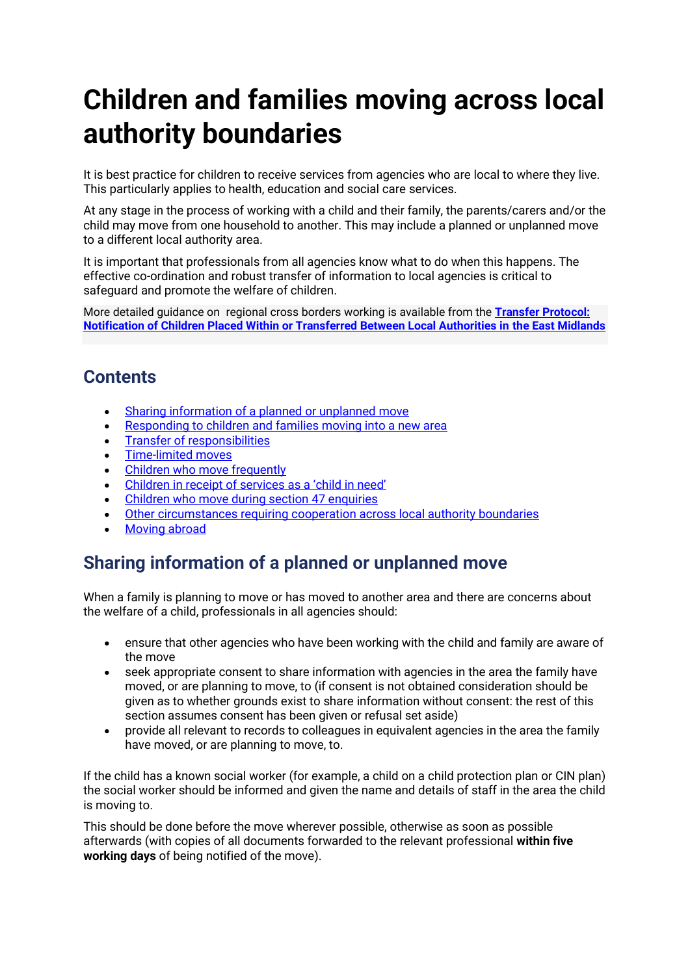# **Children and families moving across local authority boundaries**

It is best practice for children to receive services from agencies who are local to where they live. This particularly applies to health, education and social care services.

At any stage in the process of working with a child and their family, the parents/carers and/or the child may move from one household to another. This may include a planned or unplanned move to a different local authority area.

It is important that professionals from all agencies know what to do when this happens. The effective co-ordination and robust transfer of information to local agencies is critical to safeguard and promote the welfare of children.

More detailed guidance on regional cross borders working is available from the **[Transfer Protocol:](https://proceduresonline.com/trixcms1/llrscp/doc-library/#collapse4)  [Notification of Children Placed Within or Transferred Between Local Authorities in the East Midlands](https://proceduresonline.com/trixcms1/llrscp/doc-library/#collapse4)**

# **Contents**

- [Sharing information of a planned or unplanned move](#page-0-0)
- [Responding to children and families moving into a new area](#page-1-0)
- [Transfer of responsibilities](#page-2-0)
- [Time-limited moves](#page-3-0)
- [Children who move frequently](#page-4-0)
- Children in receip[t of services as a 'child in need'](#page-4-1)
- [Children who move during section 47 enquiries](#page-4-0)
- [Other circumstances requiring cooperation across local authority boundaries](#page-4-2)
- [Moving abroad](#page-6-0)

# <span id="page-0-0"></span>**Sharing information of a planned or unplanned move**

When a family is planning to move or has moved to another area and there are concerns about the welfare of a child, professionals in all agencies should:

- ensure that other agencies who have been working with the child and family are aware of the move
- seek appropriate consent to share information with agencies in the area the family have moved, or are planning to move, to (if consent is not obtained consideration should be given as to whether grounds exist to share information without consent: the rest of this section assumes consent has been given or refusal set aside)
- provide all relevant to records to colleagues in equivalent agencies in the area the family have moved, or are planning to move, to.

If the child has a known social worker (for example, a child on a child protection plan or CIN plan) the social worker should be informed and given the name and details of staff in the area the child is moving to.

This should be done before the move wherever possible, otherwise as soon as possible afterwards (with copies of all documents forwarded to the relevant professional **within five working days** of being notified of the move).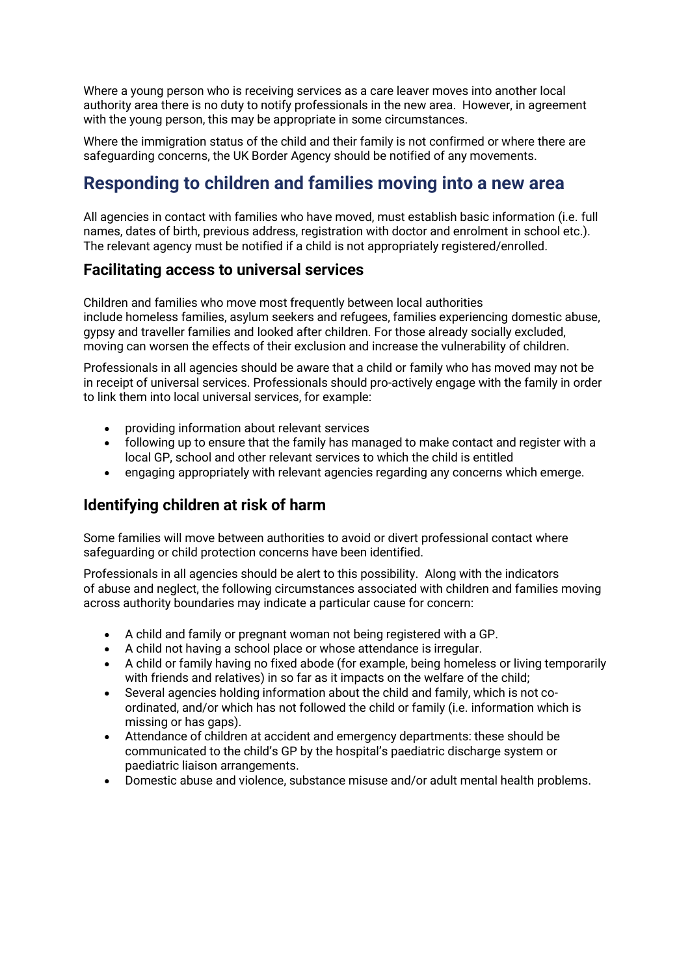Where a young person who is receiving services as a care leaver moves into another local authority area there is no duty to notify professionals in the new area. However, in agreement with the young person, this may be appropriate in some circumstances.

Where the immigration status of the child and their family is not confirmed or where there are safeguarding concerns, the UK Border Agency should be notified of any movements.

## <span id="page-1-0"></span>**Responding to children and families moving into a new area**

All agencies in contact with families who have moved, must establish basic information (i.e. full names, dates of birth, previous address, registration with doctor and enrolment in school etc.). The relevant agency must be notified if a child is not appropriately registered/enrolled.

#### **Facilitating access to universal services**

Children and families who move most frequently between local authorities include homeless families, asylum seekers and refugees, families experiencing domestic abuse, gypsy and traveller families and looked after children. For those already socially excluded, moving can worsen the effects of their exclusion and increase the vulnerability of children.

Professionals in all agencies should be aware that a child or family who has moved may not be in receipt of universal services. Professionals should pro-actively engage with the family in order to link them into local universal services, for example:

- providing information about relevant services
- following up to ensure that the family has managed to make contact and register with a local GP, school and other relevant services to which the child is entitled
- engaging appropriately with relevant agencies regarding any concerns which emerge.

#### **Identifying children at risk of harm**

Some families will move between authorities to avoid or divert professional contact where safeguarding or child protection concerns have been identified.

Professionals in all agencies should be alert to this possibility. Along with the indicators of abuse and neglect, the following circumstances associated with children and families moving across authority boundaries may indicate a particular cause for concern:

- A child and family or pregnant woman not being registered with a GP.
- A child not having a school place or whose attendance is irregular.
- A child or family having no fixed abode (for example, being homeless or living temporarily with friends and relatives) in so far as it impacts on the welfare of the child;
- Several agencies holding information about the child and family, which is not coordinated, and/or which has not followed the child or family (i.e. information which is missing or has gaps).
- Attendance of children at accident and emergency departments: these should be communicated to the child's GP by the hospital's paediatric discharge system or paediatric liaison arrangements.
- Domestic abuse and violence, substance misuse and/or adult mental health problems.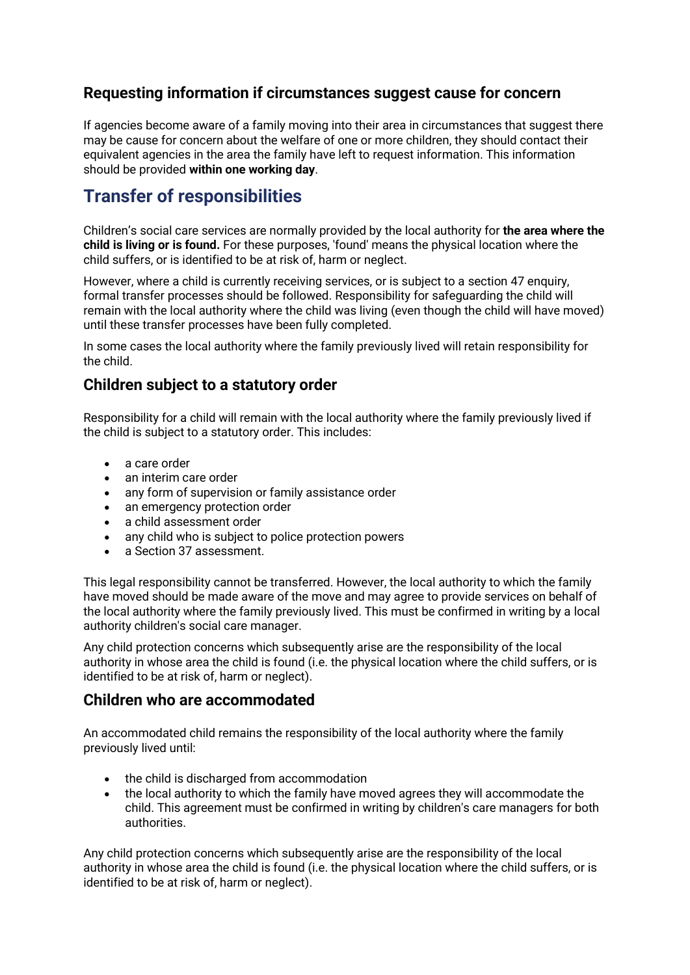## **Requesting information if circumstances suggest cause for concern**

If agencies become aware of a family moving into their area in circumstances that suggest there may be cause for concern about the welfare of one or more children, they should contact their equivalent agencies in the area the family have left to request information. This information should be provided **within one working day**.

# <span id="page-2-0"></span>**Transfer of responsibilities**

Children's social care services are normally provided by the local authority for **the area where the child is living or is found.** For these purposes, 'found' means the physical location where the child suffers, or is identified to be at risk of, harm or neglect.

However, where a child is currently receiving services, or is subject to a section 47 enquiry, formal transfer processes should be followed. Responsibility for safeguarding the child will remain with the local authority where the child was living (even though the child will have moved) until these transfer processes have been fully completed.

In some cases the local authority where the family previously lived will retain responsibility for the child.

#### **Children subject to a statutory order**

Responsibility for a child will remain with the local authority where the family previously lived if the child is subject to a statutory order. This includes:

- a care order
- an interim care order
- any form of supervision or family assistance order
- an emergency protection order
- a child assessment order
- any child who is subject to police protection powers
- a Section 37 assessment.

This legal responsibility cannot be transferred. However, the local authority to which the family have moved should be made aware of the move and may agree to provide services on behalf of the local authority where the family previously lived. This must be confirmed in writing by a local authority children's social care manager.

Any child protection concerns which subsequently arise are the responsibility of the local authority in whose area the child is found (i.e. the physical location where the child suffers, or is identified to be at risk of, harm or neglect).

#### **Children who are accommodated**

An accommodated child remains the responsibility of the local authority where the family previously lived until:

- the child is discharged from accommodation
- the local authority to which the family have moved agrees they will accommodate the child. This agreement must be confirmed in writing by children's care managers for both authorities.

Any child protection concerns which subsequently arise are the responsibility of the local authority in whose area the child is found (i.e. the physical location where the child suffers, or is identified to be at risk of, harm or neglect).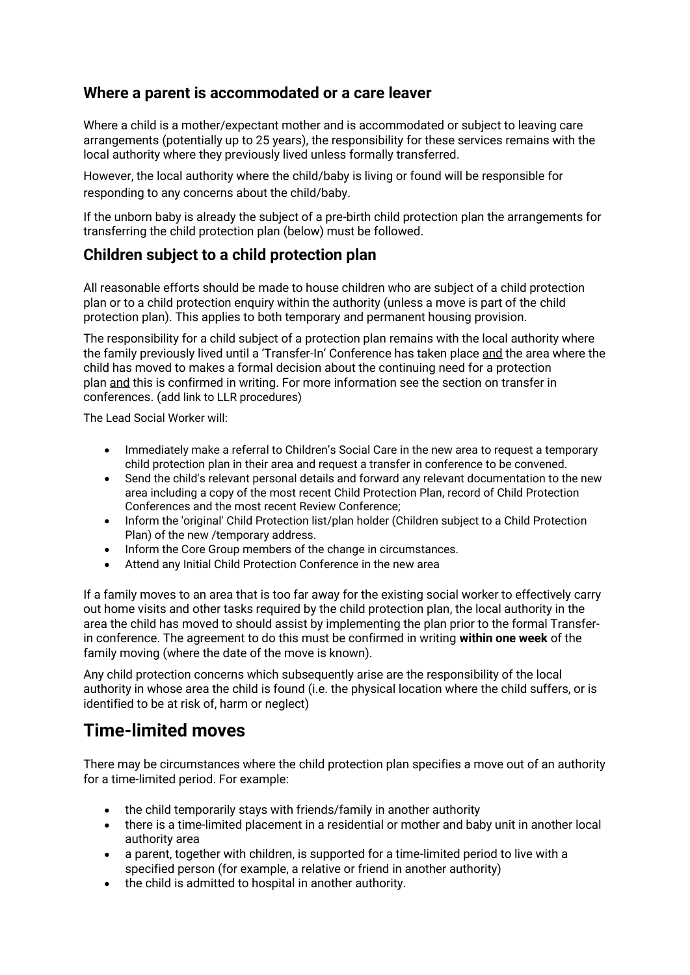#### **Where a parent is accommodated or a care leaver**

Where a child is a mother/expectant mother and is accommodated or subject to leaving care arrangements (potentially up to 25 years), the responsibility for these services remains with the local authority where they previously lived unless formally transferred.

However, the local authority where the child/baby is living or found will be responsible for responding to any concerns about the child/baby.

If the unborn baby is already the subject of a pre-birth child protection plan the arrangements for transferring the child protection plan (below) must be followed.

## **Children subject to a child protection plan**

All reasonable efforts should be made to house children who are subject of a child protection plan or to a child protection enquiry within the authority (unless a move is part of the child protection plan). This applies to both temporary and permanent housing provision.

The responsibility for a child subject of a protection plan remains with the local authority where the family previously lived until a 'Transfer-In' Conference has taken place and the area where the child has moved to makes a formal decision about the continuing need for a protection plan and this is confirmed in writing. For more information see the section on transfer in conferences. (add link to LLR procedures)

The Lead Social Worker will:

- Immediately make a referral to Children's Social Care in the new area to request a temporary child protection plan in their area and request a transfer in conference to be convened.
- Send the child's relevant personal details and forward any relevant documentation to the new area including a copy of the most recent Child Protection Plan, record of Child Protection Conferences and the most recent Review Conference;
- Inform the 'original' Child Protection list/plan holder (Children subject to a Child Protection Plan) of the new /temporary address.
- Inform the Core Group members of the change in circumstances.
- Attend any Initial Child Protection Conference in the new area

If a family moves to an area that is too far away for the existing social worker to effectively carry out home visits and other tasks required by the child protection plan, the local authority in the area the child has moved to should assist by implementing the plan prior to the formal Transferin conference. The agreement to do this must be confirmed in writing **within one week** of the family moving (where the date of the move is known).

Any child protection concerns which subsequently arise are the responsibility of the local authority in whose area the child is found (i.e. the physical location where the child suffers, or is identified to be at risk of, harm or neglect)

# <span id="page-3-0"></span>**Time-limited moves**

There may be circumstances where the child protection plan specifies a move out of an authority for a time-limited period. For example:

- the child temporarily stays with friends/family in another authority
- there is a time-limited placement in a residential or mother and baby unit in another local authority area
- a parent, together with children, is supported for a time-limited period to live with a specified person (for example, a relative or friend in another authority)
- the child is admitted to hospital in another authority.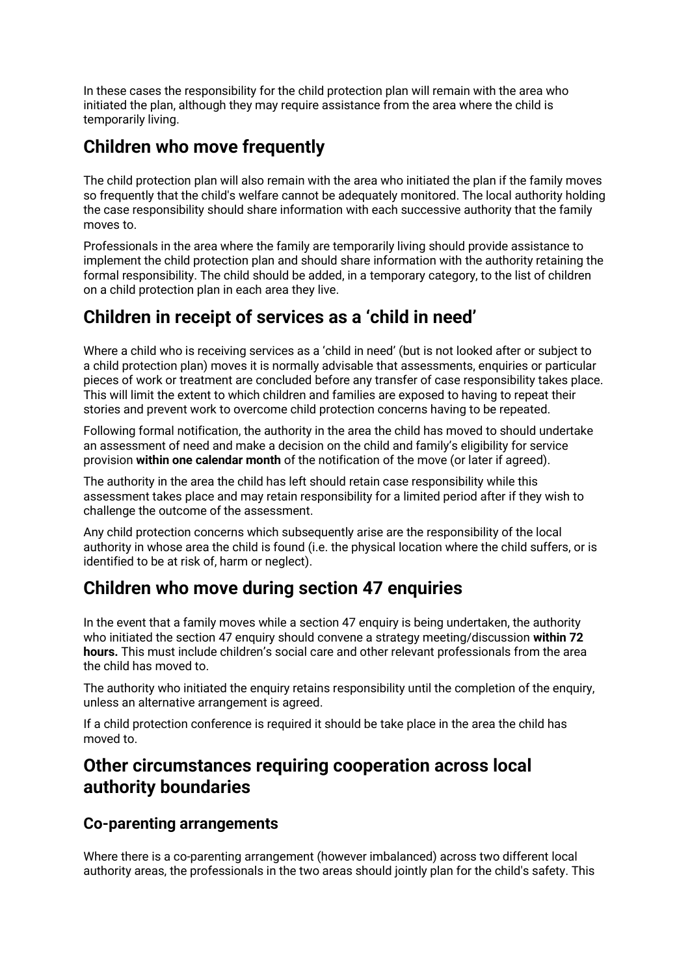In these cases the responsibility for the child protection plan will remain with the area who initiated the plan, although they may require assistance from the area where the child is temporarily living.

# **Children who move frequently**

The child protection plan will also remain with the area who initiated the plan if the family moves so frequently that the child's welfare cannot be adequately monitored. The local authority holding the case responsibility should share information with each successive authority that the family moves to.

Professionals in the area where the family are temporarily living should provide assistance to implement the child protection plan and should share information with the authority retaining the formal responsibility. The child should be added, in a temporary category, to the list of children on a child protection plan in each area they live.

# <span id="page-4-1"></span>**Children in receipt of services as a 'child in need'**

Where a child who is receiving services as a 'child in need' (but is not looked after or subject to a child protection plan) moves it is normally advisable that assessments, enquiries or particular pieces of work or treatment are concluded before any transfer of case responsibility takes place. This will limit the extent to which children and families are exposed to having to repeat their stories and prevent work to overcome child protection concerns having to be repeated.

Following formal notification, the authority in the area the child has moved to should undertake an assessment of need and make a decision on the child and family's eligibility for service provision **within one calendar month** of the notification of the move (or later if agreed).

The authority in the area the child has left should retain case responsibility while this assessment takes place and may retain responsibility for a limited period after if they wish to challenge the outcome of the assessment.

Any child protection concerns which subsequently arise are the responsibility of the local authority in whose area the child is found (i.e. the physical location where the child suffers, or is identified to be at risk of, harm or neglect).

# <span id="page-4-0"></span>**Children who move during section 47 enquiries**

In the event that a family moves while a section 47 enquiry is being undertaken, the authority who initiated the section 47 enquiry should convene a strategy meeting/discussion **within 72 hours.** This must include children's social care and other relevant professionals from the area the child has moved to.

The authority who initiated the enquiry retains responsibility until the completion of the enquiry, unless an alternative arrangement is agreed.

If a child protection conference is required it should be take place in the area the child has moved to.

## <span id="page-4-2"></span>**Other circumstances requiring cooperation across local authority boundaries**

#### **Co-parenting arrangements**

Where there is a co-parenting arrangement (however imbalanced) across two different local authority areas, the professionals in the two areas should jointly plan for the child's safety. This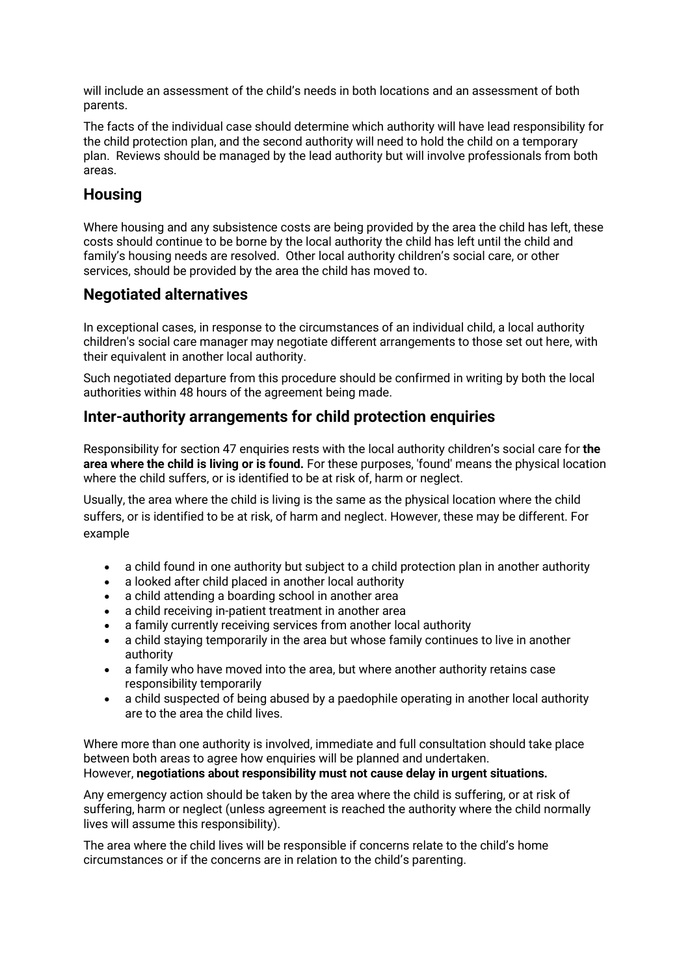will include an assessment of the child's needs in both locations and an assessment of both parents.

The facts of the individual case should determine which authority will have lead responsibility for the child protection plan, and the second authority will need to hold the child on a temporary plan. Reviews should be managed by the lead authority but will involve professionals from both areas.

#### **Housing**

Where housing and any subsistence costs are being provided by the area the child has left, these costs should continue to be borne by the local authority the child has left until the child and family's housing needs are resolved. Other local authority children's social care, or other services, should be provided by the area the child has moved to.

## **Negotiated alternatives**

In exceptional cases, in response to the circumstances of an individual child, a local authority children's social care manager may negotiate different arrangements to those set out here, with their equivalent in another local authority.

Such negotiated departure from this procedure should be confirmed in writing by both the local authorities within 48 hours of the agreement being made.

## **Inter-authority arrangements for child protection enquiries**

Responsibility for section 47 enquiries rests with the local authority children's social care for **the area where the child is living or is found.** For these purposes, 'found' means the physical location where the child suffers, or is identified to be at risk of, harm or neglect.

Usually, the area where the child is living is the same as the physical location where the child suffers, or is identified to be at risk, of harm and neglect. However, these may be different. For example

- a child found in one authority but subject to a child protection plan in another authority
- a looked after child placed in another local authority
- a child attending a boarding school in another area
- a child receiving in-patient treatment in another area
- a family currently receiving services from another local authority
- a child staying temporarily in the area but whose family continues to live in another authority
- a family who have moved into the area, but where another authority retains case responsibility temporarily
- a child suspected of being abused by a paedophile operating in another local authority are to the area the child lives.

Where more than one authority is involved, immediate and full consultation should take place between both areas to agree how enquiries will be planned and undertaken. However, **negotiations about responsibility must not cause delay in urgent situations.**

Any emergency action should be taken by the area where the child is suffering, or at risk of suffering, harm or neglect (unless agreement is reached the authority where the child normally lives will assume this responsibility).

The area where the child lives will be responsible if concerns relate to the child's home circumstances or if the concerns are in relation to the child's parenting.